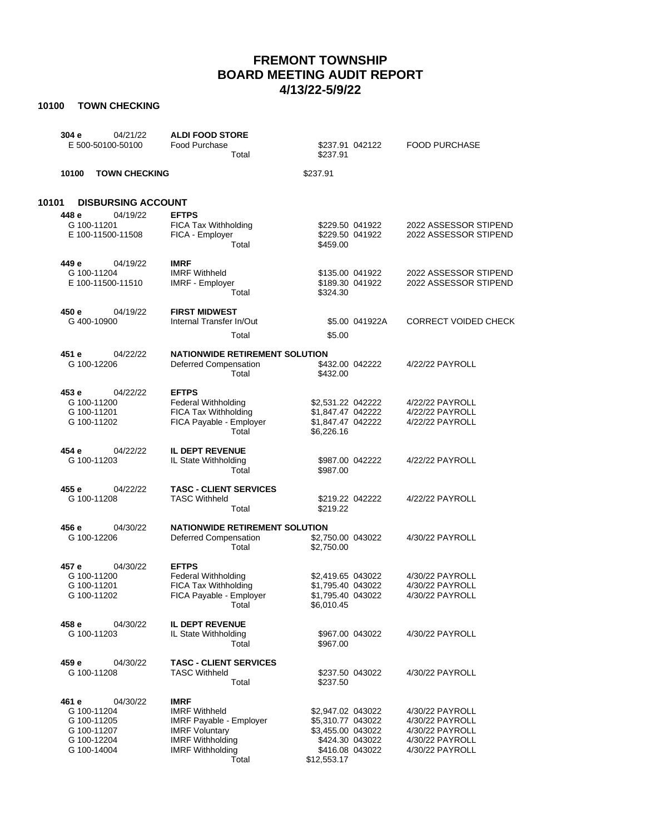## **FREMONT TOWNSHIP BOARD MEETING AUDIT REPORT 4/13/22-5/9/22**

## **10100 TOWN CHECKING**

| 304 e<br>04/21/22<br>E 500-50100-50100                                                       | <b>ALDI FOOD STORE</b><br>Food Purchase<br>Total                                                                                                              | \$237.91 042122<br>\$237.91                                                                                      | <b>FOOD PURCHASE</b>                                                                        |
|----------------------------------------------------------------------------------------------|---------------------------------------------------------------------------------------------------------------------------------------------------------------|------------------------------------------------------------------------------------------------------------------|---------------------------------------------------------------------------------------------|
| 10100<br><b>TOWN CHECKING</b>                                                                |                                                                                                                                                               | \$237.91                                                                                                         |                                                                                             |
| 10101<br><b>DISBURSING ACCOUNT</b>                                                           |                                                                                                                                                               |                                                                                                                  |                                                                                             |
| 04/19/22<br>448 e<br>G 100-11201<br>E 100-11500-11508                                        | <b>EFTPS</b><br>FICA Tax Withholding<br>FICA - Employer<br>Total                                                                                              | \$229.50 041922<br>\$229.50 041922<br>\$459.00                                                                   | 2022 ASSESSOR STIPEND<br>2022 ASSESSOR STIPEND                                              |
| 449 e<br>04/19/22<br>G 100-11204<br>E 100-11500-11510                                        | <b>IMRF</b><br><b>IMRF Withheld</b><br><b>IMRF - Employer</b><br>Total                                                                                        | \$135.00 041922<br>\$189.30 041922<br>\$324.30                                                                   | 2022 ASSESSOR STIPEND<br>2022 ASSESSOR STIPEND                                              |
| 450 e<br>04/19/22<br>G 400-10900                                                             | <b>FIRST MIDWEST</b><br>Internal Transfer In/Out<br>Total                                                                                                     | \$5.00 041922A<br>\$5.00                                                                                         | <b>CORRECT VOIDED CHECK</b>                                                                 |
| 451 e<br>04/22/22<br>G 100-12206                                                             | <b>NATIONWIDE RETIREMENT SOLUTION</b><br>Deferred Compensation<br>Total                                                                                       | \$432.00 042222<br>\$432.00                                                                                      | 4/22/22 PAYROLL                                                                             |
| 453 e<br>04/22/22<br>G 100-11200<br>G 100-11201<br>G 100-11202                               | <b>EFTPS</b><br><b>Federal Withholding</b><br>FICA Tax Withholding<br>FICA Payable - Employer<br>Total                                                        | \$2,531.22 042222<br>\$1.847.47 042222<br>\$1,847.47 042222<br>\$6,226.16                                        | 4/22/22 PAYROLL<br>4/22/22 PAYROLL<br>4/22/22 PAYROLL                                       |
| 454 e<br>04/22/22<br>G 100-11203                                                             | <b>IL DEPT REVENUE</b><br>IL State Withholding<br>Total                                                                                                       | \$987.00 042222<br>\$987.00                                                                                      | 4/22/22 PAYROLL                                                                             |
| 455 e<br>04/22/22<br>G 100-11208                                                             | <b>TASC - CLIENT SERVICES</b><br><b>TASC Withheld</b><br>Total                                                                                                | \$219.22 042222<br>\$219.22                                                                                      | 4/22/22 PAYROLL                                                                             |
| 456 e<br>04/30/22<br>G 100-12206                                                             | <b>NATIONWIDE RETIREMENT SOLUTION</b><br>Deferred Compensation<br>Total                                                                                       | \$2,750.00 043022<br>\$2,750.00                                                                                  | 4/30/22 PAYROLL                                                                             |
| 457 e<br>04/30/22<br>G 100-11200<br>G 100-11201<br>G 100-11202                               | <b>EFTPS</b><br><b>Federal Withholding</b><br>FICA Tax Withholding<br>FICA Payable - Employer<br>Total                                                        | \$2,419.65 043022<br>\$1.795.40 043022<br>\$1.795.40 043022<br>\$6,010.45                                        | 4/30/22 PAYROLL<br>4/30/22 PAYROLL<br>4/30/22 PAYROLL                                       |
| 458 e<br>04/30/22<br>G 100-11203                                                             | <b>IL DEPT REVENUE</b><br>IL State Withholding<br>Total                                                                                                       | \$967.00 043022<br>\$967.00                                                                                      | 4/30/22 PAYROLL                                                                             |
| 459 e<br>04/30/22<br>G 100-11208                                                             | <b>TASC - CLIENT SERVICES</b><br><b>TASC Withheld</b><br>Total                                                                                                | \$237.50 043022<br>\$237.50                                                                                      | 4/30/22 PAYROLL                                                                             |
| 461 e<br>04/30/22<br>G 100-11204<br>G 100-11205<br>G 100-11207<br>G 100-12204<br>G 100-14004 | <b>IMRF</b><br><b>IMRF Withheld</b><br><b>IMRF Payable - Employer</b><br><b>IMRF Voluntary</b><br><b>IMRF Withholding</b><br><b>IMRF Withholding</b><br>Total | \$2,947.02 043022<br>\$5,310.77 043022<br>\$3,455.00 043022<br>\$424.30 043022<br>\$416.08 043022<br>\$12,553.17 | 4/30/22 PAYROLL<br>4/30/22 PAYROLL<br>4/30/22 PAYROLL<br>4/30/22 PAYROLL<br>4/30/22 PAYROLL |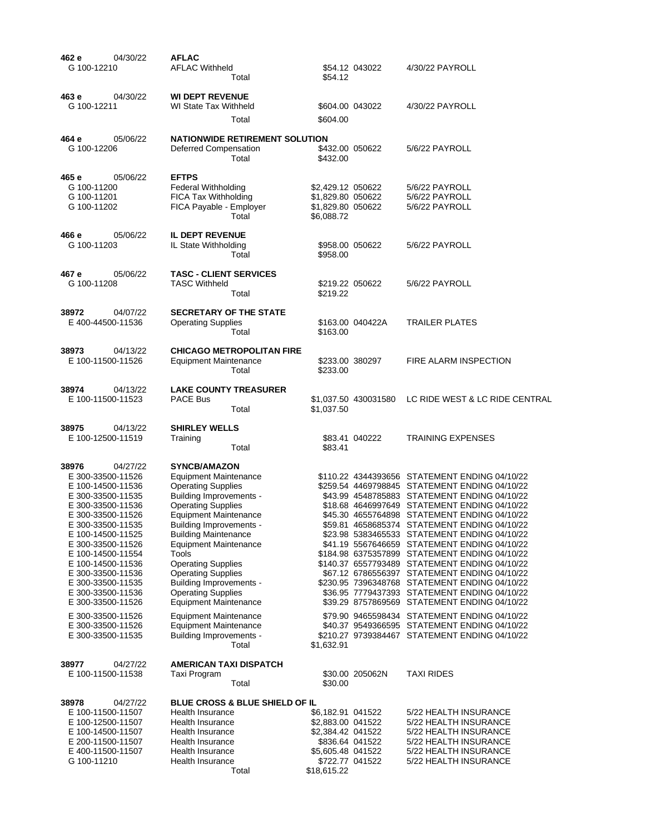| 462 e<br>04/30/22<br>G 100-12210                                                                                                                                                                                                                                                                                                                                                       | <b>AFLAC</b><br><b>AFLAC Withheld</b><br>Total                                                                                                                                                                                                                                                                                                                                                                                                                                                                                                         | \$54.12 043022<br>\$54.12                                                                                                             | 4/30/22 PAYROLL                                                                                                                                                                                                                                                                                                                                                                                                                                                                                                                                                                                                                                                                                                                                                                                                                                    |
|----------------------------------------------------------------------------------------------------------------------------------------------------------------------------------------------------------------------------------------------------------------------------------------------------------------------------------------------------------------------------------------|--------------------------------------------------------------------------------------------------------------------------------------------------------------------------------------------------------------------------------------------------------------------------------------------------------------------------------------------------------------------------------------------------------------------------------------------------------------------------------------------------------------------------------------------------------|---------------------------------------------------------------------------------------------------------------------------------------|----------------------------------------------------------------------------------------------------------------------------------------------------------------------------------------------------------------------------------------------------------------------------------------------------------------------------------------------------------------------------------------------------------------------------------------------------------------------------------------------------------------------------------------------------------------------------------------------------------------------------------------------------------------------------------------------------------------------------------------------------------------------------------------------------------------------------------------------------|
| 04/30/22<br>463 e<br>G 100-12211                                                                                                                                                                                                                                                                                                                                                       | <b>WI DEPT REVENUE</b><br>WI State Tax Withheld<br>Total                                                                                                                                                                                                                                                                                                                                                                                                                                                                                               | \$604.00 043022<br>\$604.00                                                                                                           | 4/30/22 PAYROLL                                                                                                                                                                                                                                                                                                                                                                                                                                                                                                                                                                                                                                                                                                                                                                                                                                    |
| 05/06/22<br>464 e<br>G 100-12206                                                                                                                                                                                                                                                                                                                                                       | <b>NATIONWIDE RETIREMENT SOLUTION</b><br>Deferred Compensation<br>Total                                                                                                                                                                                                                                                                                                                                                                                                                                                                                | \$432.00 050622<br>\$432.00                                                                                                           | 5/6/22 PAYROLL                                                                                                                                                                                                                                                                                                                                                                                                                                                                                                                                                                                                                                                                                                                                                                                                                                     |
| 465 e<br>05/06/22<br>G 100-11200<br>G 100-11201<br>G 100-11202                                                                                                                                                                                                                                                                                                                         | <b>EFTPS</b><br><b>Federal Withholding</b><br>FICA Tax Withholding<br>FICA Payable - Employer<br>Total                                                                                                                                                                                                                                                                                                                                                                                                                                                 | \$2,429.12 050622<br>\$1,829.80 050622<br>\$1,829.80 050622<br>\$6,088.72                                                             | 5/6/22 PAYROLL<br>5/6/22 PAYROLL<br>5/6/22 PAYROLL                                                                                                                                                                                                                                                                                                                                                                                                                                                                                                                                                                                                                                                                                                                                                                                                 |
| 466 e<br>05/06/22<br>G 100-11203                                                                                                                                                                                                                                                                                                                                                       | <b>IL DEPT REVENUE</b><br>IL State Withholding<br>Total                                                                                                                                                                                                                                                                                                                                                                                                                                                                                                | \$958.00 050622<br>\$958.00                                                                                                           | 5/6/22 PAYROLL                                                                                                                                                                                                                                                                                                                                                                                                                                                                                                                                                                                                                                                                                                                                                                                                                                     |
| 467 e<br>05/06/22<br>G 100-11208                                                                                                                                                                                                                                                                                                                                                       | <b>TASC - CLIENT SERVICES</b><br><b>TASC Withheld</b><br>Total                                                                                                                                                                                                                                                                                                                                                                                                                                                                                         | \$219.22 050622<br>\$219.22                                                                                                           | 5/6/22 PAYROLL                                                                                                                                                                                                                                                                                                                                                                                                                                                                                                                                                                                                                                                                                                                                                                                                                                     |
| 38972<br>04/07/22<br>E 400-44500-11536                                                                                                                                                                                                                                                                                                                                                 | <b>SECRETARY OF THE STATE</b><br><b>Operating Supplies</b><br>Total                                                                                                                                                                                                                                                                                                                                                                                                                                                                                    | \$163.00 040422A<br>\$163.00                                                                                                          | <b>TRAILER PLATES</b>                                                                                                                                                                                                                                                                                                                                                                                                                                                                                                                                                                                                                                                                                                                                                                                                                              |
| 38973<br>04/13/22<br>E 100-11500-11526                                                                                                                                                                                                                                                                                                                                                 | <b>CHICAGO METROPOLITAN FIRE</b><br><b>Equipment Maintenance</b><br>Total                                                                                                                                                                                                                                                                                                                                                                                                                                                                              | \$233.00 380297<br>\$233.00                                                                                                           | FIRE ALARM INSPECTION                                                                                                                                                                                                                                                                                                                                                                                                                                                                                                                                                                                                                                                                                                                                                                                                                              |
| 38974<br>04/13/22<br>E 100-11500-11523                                                                                                                                                                                                                                                                                                                                                 | <b>LAKE COUNTY TREASURER</b><br><b>PACE Bus</b><br>Total                                                                                                                                                                                                                                                                                                                                                                                                                                                                                               | \$1,037.50 430031580<br>\$1,037.50                                                                                                    | LC RIDE WEST & LC RIDE CENTRAL                                                                                                                                                                                                                                                                                                                                                                                                                                                                                                                                                                                                                                                                                                                                                                                                                     |
| 38975<br>04/13/22<br>E 100-12500-11519                                                                                                                                                                                                                                                                                                                                                 | <b>SHIRLEY WELLS</b><br>Training<br>Total                                                                                                                                                                                                                                                                                                                                                                                                                                                                                                              | \$83.41 040222<br>\$83.41                                                                                                             | <b>TRAINING EXPENSES</b>                                                                                                                                                                                                                                                                                                                                                                                                                                                                                                                                                                                                                                                                                                                                                                                                                           |
| 38976<br>04/27/22<br>E 300-33500-11526<br>E 100-14500-11536<br>E 300-33500-11535<br>E 300-33500-11536<br>E 300-33500-11526<br>E 300-33500-11535<br>E 100-14500-11525<br>E 300-33500-11526<br>E 100-14500-11554<br>E 100-14500-11536<br>E 300-33500-11536<br>E 300-33500-11535<br>E 300-33500-11536<br>E 300-33500-11526<br>E 300-33500-11526<br>E 300-33500-11526<br>E 300-33500-11535 | <b>SYNCB/AMAZON</b><br>Equipment Maintenance<br><b>Operating Supplies</b><br><b>Building Improvements -</b><br><b>Operating Supplies</b><br><b>Equipment Maintenance</b><br><b>Building Improvements -</b><br><b>Building Maintenance</b><br><b>Equipment Maintenance</b><br>Tools<br><b>Operating Supplies</b><br><b>Operating Supplies</b><br><b>Building Improvements -</b><br><b>Operating Supplies</b><br><b>Equipment Maintenance</b><br><b>Equipment Maintenance</b><br><b>Equipment Maintenance</b><br><b>Building Improvements -</b><br>Total | \$1,632.91                                                                                                                            | \$110.22 4344393656 STATEMENT ENDING 04/10/22<br>\$259.54 4469798845 STATEMENT ENDING 04/10/22<br>\$43.99 4548785883 STATEMENT ENDING 04/10/22<br>\$18.68 4646997649 STATEMENT ENDING 04/10/22<br>\$45.30 4655764898 STATEMENT ENDING 04/10/22<br>\$59.81 4658685374 STATEMENT ENDING 04/10/22<br>\$23.98 5383465533 STATEMENT ENDING 04/10/22<br>\$41.19 5567646659 STATEMENT ENDING 04/10/22<br>\$184.98 6375357899 STATEMENT ENDING 04/10/22<br>\$140.37 6557793489 STATEMENT ENDING 04/10/22<br>\$67.12 6786556397 STATEMENT ENDING 04/10/22<br>\$230.95 7396348768 STATEMENT ENDING 04/10/22<br>\$36.95 7779437393 STATEMENT ENDING 04/10/22<br>\$39.29 8757869569 STATEMENT ENDING 04/10/22<br>\$79.90 9465598434 STATEMENT ENDING 04/10/22<br>\$40.37 9549366595 STATEMENT ENDING 04/10/22<br>\$210.27 9739384467 STATEMENT ENDING 04/10/22 |
| 38977<br>04/27/22<br>E 100-11500-11538                                                                                                                                                                                                                                                                                                                                                 | <b>AMERICAN TAXI DISPATCH</b><br>Taxi Program<br>Total                                                                                                                                                                                                                                                                                                                                                                                                                                                                                                 | \$30.00 205062N<br>\$30.00                                                                                                            | TAXI RIDES                                                                                                                                                                                                                                                                                                                                                                                                                                                                                                                                                                                                                                                                                                                                                                                                                                         |
| 38978<br>04/27/22<br>E 100-11500-11507<br>E 100-12500-11507<br>E 100-14500-11507<br>E 200-11500-11507<br>E 400-11500-11507<br>G 100-11210                                                                                                                                                                                                                                              | <b>BLUE CROSS &amp; BLUE SHIELD OF IL</b><br>Health Insurance<br>Health Insurance<br>Health Insurance<br>Health Insurance<br>Health Insurance<br>Health Insurance<br>Total                                                                                                                                                                                                                                                                                                                                                                             | \$6,182.91 041522<br>\$2,883.00 041522<br>\$2,384.42 041522<br>\$836.64 041522<br>\$5,605.48 041522<br>\$722.77 041522<br>\$18,615.22 | 5/22 HEALTH INSURANCE<br>5/22 HEALTH INSURANCE<br>5/22 HEALTH INSURANCE<br>5/22 HEALTH INSURANCE<br>5/22 HEALTH INSURANCE<br>5/22 HEALTH INSURANCE                                                                                                                                                                                                                                                                                                                                                                                                                                                                                                                                                                                                                                                                                                 |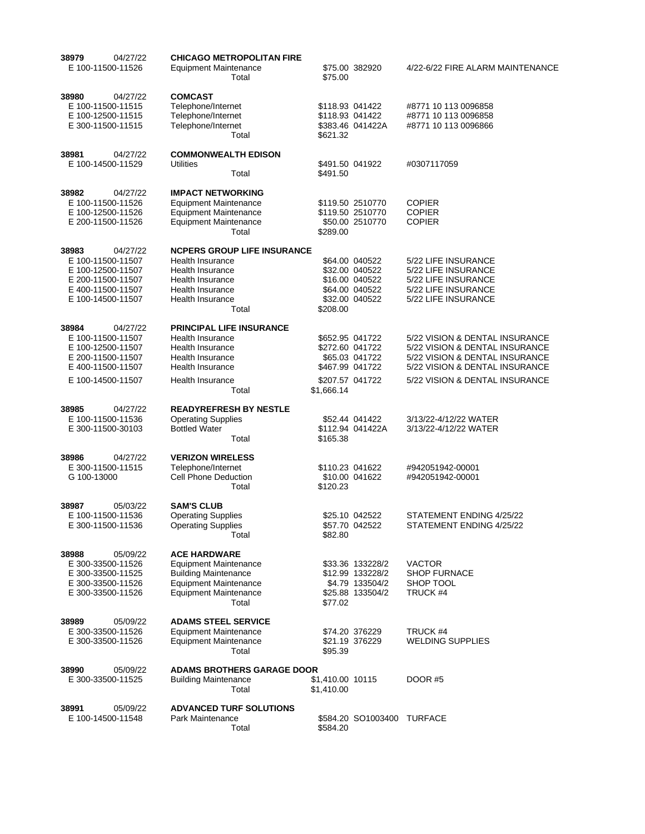| 38979<br>04/27/22<br>E 100-11500-11526                                                                                     | <b>CHICAGO METROPOLITAN FIRE</b><br><b>Equipment Maintenance</b><br>Total                                                                                   | \$75.00 382920<br>\$75.00                                                                                | 4/22-6/22 FIRE ALARM MAINTENANCE                                                                                                                                       |
|----------------------------------------------------------------------------------------------------------------------------|-------------------------------------------------------------------------------------------------------------------------------------------------------------|----------------------------------------------------------------------------------------------------------|------------------------------------------------------------------------------------------------------------------------------------------------------------------------|
| 38980<br>04/27/22<br>E 100-11500-11515<br>E 100-12500-11515<br>E 300-11500-11515                                           | <b>COMCAST</b><br>Telephone/Internet<br>Telephone/Internet<br>Telephone/Internet<br>Total                                                                   | \$118.93 041422<br>\$118.93 041422<br>\$383.46 041422A<br>\$621.32                                       | #8771 10 113 0096858<br>#8771 10 113 0096858<br>#8771 10 113 0096866                                                                                                   |
| 38981<br>04/27/22<br>E 100-14500-11529                                                                                     | <b>COMMONWEALTH EDISON</b><br>Utilities<br>Total                                                                                                            | \$491.50 041922<br>\$491.50                                                                              | #0307117059                                                                                                                                                            |
| 38982<br>04/27/22<br>E 100-11500-11526<br>E 100-12500-11526<br>E 200-11500-11526                                           | <b>IMPACT NETWORKING</b><br>Equipment Maintenance<br><b>Equipment Maintenance</b><br><b>Equipment Maintenance</b><br>Total                                  | \$119.50 2510770<br>\$119.50 2510770<br>\$50.00 2510770<br>\$289.00                                      | <b>COPIER</b><br><b>COPIER</b><br><b>COPIER</b>                                                                                                                        |
| 38983<br>04/27/22<br>E 100-11500-11507<br>E 100-12500-11507<br>E 200-11500-11507<br>E 400-11500-11507<br>E 100-14500-11507 | <b>NCPERS GROUP LIFE INSURANCE</b><br>Health Insurance<br><b>Health Insurance</b><br>Health Insurance<br>Health Insurance<br>Health Insurance<br>Total      | \$64.00 040522<br>\$32.00 040522<br>\$16.00 040522<br>\$64.00 040522<br>\$32.00 040522<br>\$208.00       | 5/22 LIFE INSURANCE<br>5/22 LIFE INSURANCE<br>5/22 LIFE INSURANCE<br>5/22 LIFE INSURANCE<br>5/22 LIFE INSURANCE                                                        |
| 38984<br>04/27/22<br>E 100-11500-11507<br>E 100-12500-11507<br>E 200-11500-11507<br>E 400-11500-11507<br>E 100-14500-11507 | PRINCIPAL LIFE INSURANCE<br>Health Insurance<br><b>Health Insurance</b><br>Health Insurance<br>Health Insurance<br>Health Insurance<br>Total                | \$652.95 041722<br>\$272.60 041722<br>\$65.03 041722<br>\$467.99 041722<br>\$207.57 041722<br>\$1,666.14 | 5/22 VISION & DENTAL INSURANCE<br>5/22 VISION & DENTAL INSURANCE<br>5/22 VISION & DENTAL INSURANCE<br>5/22 VISION & DENTAL INSURANCE<br>5/22 VISION & DENTAL INSURANCE |
| 04/27/22<br>38985<br>E 100-11500-11536<br>E 300-11500-30103                                                                | <b>READYREFRESH BY NESTLE</b><br><b>Operating Supplies</b><br><b>Bottled Water</b><br>Total                                                                 | \$52.44 041422<br>\$112.94 041422A<br>\$165.38                                                           | 3/13/22-4/12/22 WATER<br>3/13/22-4/12/22 WATER                                                                                                                         |
| 38986<br>04/27/22<br>E 300-11500-11515<br>G 100-13000                                                                      | <b>VERIZON WIRELESS</b><br>Telephone/Internet<br>Cell Phone Deduction<br>Total                                                                              | \$110.23 041622<br>\$10.00 041622<br>\$120.23                                                            | #942051942-00001<br>#942051942-00001                                                                                                                                   |
| 05/03/22<br>38987<br>E 100-11500-11536<br>E 300-11500-11536                                                                | <b>SAM'S CLUB</b><br><b>Operating Supplies</b><br><b>Operating Supplies</b><br>Total                                                                        | \$25.10 042522<br>\$57.70 042522<br>\$82.80                                                              | STATEMENT ENDING 4/25/22<br>STATEMENT ENDING 4/25/22                                                                                                                   |
| 38988<br>05/09/22<br>E 300-33500-11526<br>E 300-33500-11525<br>E 300-33500-11526<br>E 300-33500-11526                      | <b>ACE HARDWARE</b><br><b>Equipment Maintenance</b><br><b>Building Maintenance</b><br><b>Equipment Maintenance</b><br><b>Equipment Maintenance</b><br>Total | \$33.36 133228/2<br>\$12.99 133228/2<br>\$4.79 133504/2<br>\$25.88 133504/2<br>\$77.02                   | VACTOR<br><b>SHOP FURNACE</b><br>SHOP TOOL<br>TRUCK #4                                                                                                                 |
| 38989<br>05/09/22<br>E 300-33500-11526<br>E 300-33500-11526                                                                | <b>ADAMS STEEL SERVICE</b><br><b>Equipment Maintenance</b><br><b>Equipment Maintenance</b><br>Total                                                         | \$74.20 376229<br>\$21.19 376229<br>\$95.39                                                              | TRUCK #4<br><b>WELDING SUPPLIES</b>                                                                                                                                    |
| 38990<br>05/09/22<br>E 300-33500-11525                                                                                     | <b>ADAMS BROTHERS GARAGE DOOR</b><br><b>Building Maintenance</b><br>Total                                                                                   | \$1,410.00 10115<br>\$1,410.00                                                                           | <b>DOOR #5</b>                                                                                                                                                         |
| 38991<br>05/09/22<br>E 100-14500-11548                                                                                     | <b>ADVANCED TURF SOLUTIONS</b><br>Park Maintenance<br>Total                                                                                                 | \$584.20 SO1003400<br>\$584.20                                                                           | <b>TURFACE</b>                                                                                                                                                         |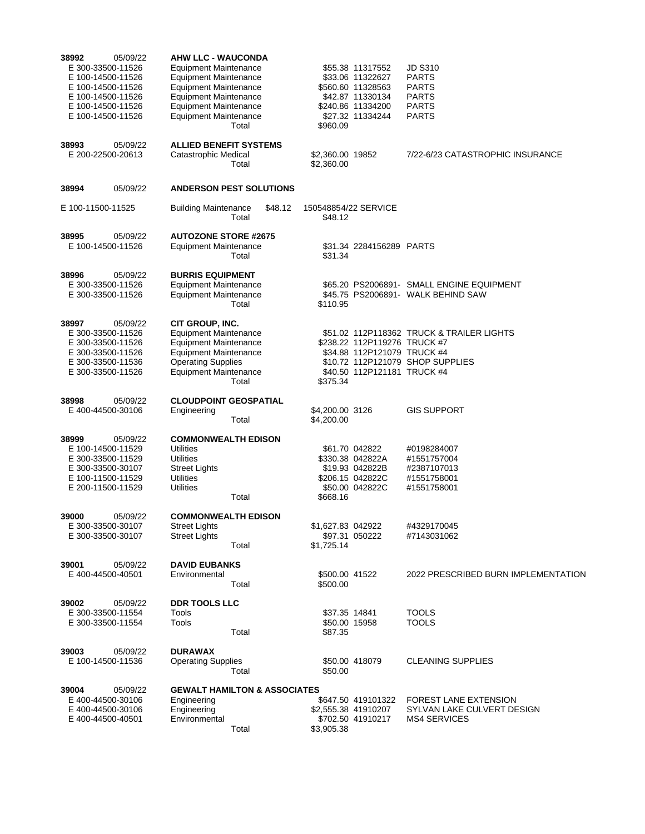| 38992<br>05/09/22<br>E 300-33500-11526<br>E 100-14500-11526<br>E 100-14500-11526<br>E 100-14500-11526<br>E 100-14500-11526<br>E 100-14500-11526<br>38993<br>05/09/22<br>E 200-22500-20613 | <b>AHW LLC - WAUCONDA</b><br><b>Equipment Maintenance</b><br><b>Equipment Maintenance</b><br><b>Equipment Maintenance</b><br><b>Equipment Maintenance</b><br><b>Equipment Maintenance</b><br><b>Equipment Maintenance</b><br>Total<br><b>ALLIED BENEFIT SYSTEMS</b><br>Catastrophic Medical | \$55.38 11317552<br>\$33.06 11322627<br>\$560.60 11328563<br>\$42.87 11330134<br>\$240.86 11334200<br>\$27.32 11334244<br>\$960.09<br>\$2,360.00 19852 | <b>JD S310</b><br><b>PARTS</b><br><b>PARTS</b><br><b>PARTS</b><br><b>PARTS</b><br><b>PARTS</b><br>7/22-6/23 CATASTROPHIC INSURANCE |
|-------------------------------------------------------------------------------------------------------------------------------------------------------------------------------------------|---------------------------------------------------------------------------------------------------------------------------------------------------------------------------------------------------------------------------------------------------------------------------------------------|--------------------------------------------------------------------------------------------------------------------------------------------------------|------------------------------------------------------------------------------------------------------------------------------------|
|                                                                                                                                                                                           | Total                                                                                                                                                                                                                                                                                       | \$2,360.00                                                                                                                                             |                                                                                                                                    |
| 38994<br>05/09/22                                                                                                                                                                         | <b>ANDERSON PEST SOLUTIONS</b>                                                                                                                                                                                                                                                              |                                                                                                                                                        |                                                                                                                                    |
| E 100-11500-11525                                                                                                                                                                         | <b>Building Maintenance</b><br>\$48.12<br>Total                                                                                                                                                                                                                                             | 150548854/22 SERVICE<br>\$48.12                                                                                                                        |                                                                                                                                    |
| 38995<br>05/09/22<br>E 100-14500-11526                                                                                                                                                    | <b>AUTOZONE STORE #2675</b><br><b>Equipment Maintenance</b><br>Total                                                                                                                                                                                                                        | \$31.34 2284156289 PARTS<br>\$31.34                                                                                                                    |                                                                                                                                    |
| 38996<br>05/09/22<br>E 300-33500-11526<br>E 300-33500-11526                                                                                                                               | <b>BURRIS EQUIPMENT</b><br><b>Equipment Maintenance</b><br><b>Equipment Maintenance</b><br>Total                                                                                                                                                                                            | \$110.95                                                                                                                                               | \$65.20 PS2006891- SMALL ENGINE EQUIPMENT<br>\$45.75 PS2006891- WALK BEHIND SAW                                                    |
| 38997<br>05/09/22<br>E 300-33500-11526<br>E 300-33500-11526<br>E 300-33500-11526<br>E 300-33500-11536<br>E 300-33500-11526                                                                | CIT GROUP, INC.<br><b>Equipment Maintenance</b><br><b>Equipment Maintenance</b><br><b>Equipment Maintenance</b><br><b>Operating Supplies</b><br><b>Equipment Maintenance</b><br>Total                                                                                                       | \$238.22 112P119276 TRUCK #7<br>\$34.88 112P121079 TRUCK #4<br>\$10.72 112P121079 SHOP SUPPLIES<br>\$40.50 112P121181 TRUCK #4<br>\$375.34             | \$51.02 112P118362 TRUCK & TRAILER LIGHTS                                                                                          |
| 38998<br>05/09/22<br>E 400-44500-30106                                                                                                                                                    | <b>CLOUDPOINT GEOSPATIAL</b><br>Engineering<br>Total                                                                                                                                                                                                                                        | \$4,200.00 3126<br>\$4,200.00                                                                                                                          | <b>GIS SUPPORT</b>                                                                                                                 |
| 38999<br>05/09/22<br>E 100-14500-11529<br>E 300-33500-11529<br>E 300-33500-30107<br>E 100-11500-11529<br>E 200-11500-11529                                                                | <b>COMMONWEALTH EDISON</b><br><b>Utilities</b><br><b>Utilities</b><br><b>Street Lights</b><br>Utilities<br><b>Utilities</b><br>Total                                                                                                                                                        | \$61.70 042822<br>\$330.38 042822A<br>\$19.93 042822B<br>\$206.15 042822C<br>\$50.00 042822C<br>\$668.16                                               | #0198284007<br>#1551757004<br>#2387107013<br>#1551758001<br>#1551758001                                                            |
| 39000<br>05/09/22<br>E 300-33500-30107<br>E 300-33500-30107                                                                                                                               | <b>COMMONWEALTH EDISON</b><br><b>Street Lights</b><br><b>Street Lights</b><br>Total                                                                                                                                                                                                         | \$1,627.83 042922<br>\$97.31 050222<br>\$1.725.14                                                                                                      | #4329170045<br>#7143031062                                                                                                         |
| 39001<br>05/09/22<br>E 400-44500-40501                                                                                                                                                    | <b>DAVID EUBANKS</b><br>Environmental<br>Total                                                                                                                                                                                                                                              | \$500.00 41522<br>\$500.00                                                                                                                             | 2022 PRESCRIBED BURN IMPLEMENTATION                                                                                                |
| 39002<br>05/09/22<br>E 300-33500-11554<br>E 300-33500-11554                                                                                                                               | <b>DDR TOOLS LLC</b><br>Tools<br>Tools<br>Total                                                                                                                                                                                                                                             | \$37.35 14841<br>\$50.00 15958<br>\$87.35                                                                                                              | <b>TOOLS</b><br><b>TOOLS</b>                                                                                                       |
| 39003<br>05/09/22<br>E 100-14500-11536                                                                                                                                                    | <b>DURAWAX</b><br><b>Operating Supplies</b><br>Total                                                                                                                                                                                                                                        | \$50.00 418079<br>\$50.00                                                                                                                              | <b>CLEANING SUPPLIES</b>                                                                                                           |
| 39004<br>05/09/22<br>E 400-44500-30106<br>E 400-44500-30106<br>E 400-44500-40501                                                                                                          | <b>GEWALT HAMILTON &amp; ASSOCIATES</b><br>Engineering<br>Engineering<br>Environmental<br>Total                                                                                                                                                                                             | \$647.50 419101322<br>\$2,555.38 41910207<br>\$702.50 41910217<br>\$3,905.38                                                                           | <b>FOREST LANE EXTENSION</b><br>SYLVAN LAKE CULVERT DESIGN<br><b>MS4 SERVICES</b>                                                  |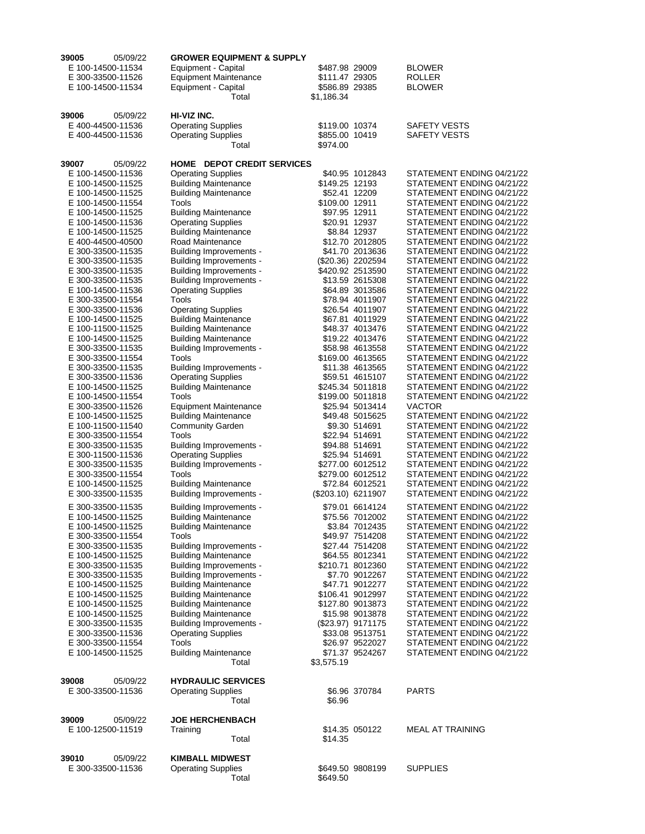| 39005<br>05/09/22                      | <b>GROWER EQUIPMENT &amp; SUPPLY</b>                   |                                     |                                                        |
|----------------------------------------|--------------------------------------------------------|-------------------------------------|--------------------------------------------------------|
| E 100-14500-11534                      | Equipment - Capital                                    | \$487.98 29009                      | <b>BLOWER</b>                                          |
| E 300-33500-11526                      | <b>Equipment Maintenance</b>                           | \$111.47 29305                      | <b>ROLLER</b>                                          |
| E 100-14500-11534                      | Equipment - Capital<br>Total                           | \$586.89 29385                      | <b>BLOWER</b>                                          |
|                                        |                                                        | \$1,186.34                          |                                                        |
| 39006<br>05/09/22                      | HI-VIZ INC.                                            |                                     |                                                        |
| E 400-44500-11536                      | <b>Operating Supplies</b>                              | \$119.00 10374                      | SAFETY VESTS                                           |
| E 400-44500-11536                      | <b>Operating Supplies</b>                              | \$855.00 10419                      | SAFETY VESTS                                           |
|                                        | Total                                                  | \$974.00                            |                                                        |
|                                        |                                                        |                                     |                                                        |
| 39007<br>05/09/22                      | HOME DEPOT CREDIT SERVICES                             |                                     |                                                        |
| E 100-14500-11536                      | <b>Operating Supplies</b>                              | \$40.95 1012843                     | STATEMENT ENDING 04/21/22                              |
| E 100-14500-11525                      | <b>Building Maintenance</b>                            | \$149.25 12193                      | STATEMENT ENDING 04/21/22                              |
| E 100-14500-11525                      | <b>Building Maintenance</b>                            | \$52.41 12209                       | STATEMENT ENDING 04/21/22                              |
| E 100-14500-11554<br>E 100-14500-11525 | Tools<br><b>Building Maintenance</b>                   | \$109.00 12911<br>\$97.95 12911     | STATEMENT ENDING 04/21/22<br>STATEMENT ENDING 04/21/22 |
| E 100-14500-11536                      | <b>Operating Supplies</b>                              | \$20.91 12937                       | STATEMENT ENDING 04/21/22                              |
| E 100-14500-11525                      | <b>Building Maintenance</b>                            | \$8.84 12937                        | STATEMENT ENDING 04/21/22                              |
| E 400-44500-40500                      | Road Maintenance                                       | \$12.70 2012805                     | STATEMENT ENDING 04/21/22                              |
| E 300-33500-11535                      | Building Improvements -                                | \$41.70 2013636                     | STATEMENT ENDING 04/21/22                              |
| E 300-33500-11535                      | Building Improvements -                                | (\$20.36) 2202594                   | STATEMENT ENDING 04/21/22                              |
| E 300-33500-11535                      | Building Improvements -                                | \$420.92 2513590                    | STATEMENT ENDING 04/21/22                              |
| E 300-33500-11535                      | Building Improvements -                                | \$13.59 2615308                     | STATEMENT ENDING 04/21/22                              |
| E 100-14500-11536                      | <b>Operating Supplies</b>                              | \$64.89 3013586                     | STATEMENT ENDING 04/21/22                              |
| E 300-33500-11554                      | Tools                                                  | \$78.94 4011907                     | STATEMENT ENDING 04/21/22                              |
| E 300-33500-11536                      | <b>Operating Supplies</b>                              | \$26.54 4011907                     | STATEMENT ENDING 04/21/22                              |
| E 100-14500-11525                      | <b>Building Maintenance</b>                            | \$67.81 4011929                     | STATEMENT ENDING 04/21/22                              |
| E 100-11500-11525                      | <b>Building Maintenance</b>                            | \$48.37 4013476                     | STATEMENT ENDING 04/21/22                              |
| E 100-14500-11525                      | <b>Building Maintenance</b>                            | \$19.22 4013476                     | STATEMENT ENDING 04/21/22                              |
| E 300-33500-11535                      | Building Improvements -                                | \$58.98 4613558                     | STATEMENT ENDING 04/21/22                              |
| E 300-33500-11554<br>E 300-33500-11535 | Tools<br><b>Building Improvements -</b>                | \$169.00 4613565<br>\$11.38 4613565 | STATEMENT ENDING 04/21/22<br>STATEMENT ENDING 04/21/22 |
| E 300-33500-11536                      | <b>Operating Supplies</b>                              | \$59.51 4615107                     | STATEMENT ENDING 04/21/22                              |
| E 100-14500-11525                      | <b>Building Maintenance</b>                            | \$245.34 5011818                    | STATEMENT ENDING 04/21/22                              |
| E 100-14500-11554                      | Tools                                                  | \$199.00 5011818                    | STATEMENT ENDING 04/21/22                              |
| E 300-33500-11526                      | <b>Equipment Maintenance</b>                           | \$25.94 5013414                     | <b>VACTOR</b>                                          |
| E 100-14500-11525                      | <b>Building Maintenance</b>                            | \$49.48 5015625                     | STATEMENT ENDING 04/21/22                              |
| E 100-11500-11540                      | <b>Community Garden</b>                                | \$9.30 514691                       | STATEMENT ENDING 04/21/22                              |
| E 300-33500-11554                      | Tools                                                  | \$22.94 514691                      | STATEMENT ENDING 04/21/22                              |
| E 300-33500-11535                      | Building Improvements -                                | \$94.88 514691                      | STATEMENT ENDING 04/21/22                              |
| E 300-11500-11536                      | <b>Operating Supplies</b>                              | \$25.94 514691                      | STATEMENT ENDING 04/21/22                              |
| E 300-33500-11535                      | Building Improvements -                                | \$277.00 6012512                    | STATEMENT ENDING 04/21/22                              |
| E 300-33500-11554                      | Tools                                                  | \$279.00 6012512                    | STATEMENT ENDING 04/21/22                              |
| E 100-14500-11525                      | <b>Building Maintenance</b>                            | \$72.84 6012521                     | STATEMENT ENDING 04/21/22                              |
| E 300-33500-11535                      | Building Improvements -                                | (\$203.10) 6211907                  | STATEMENT ENDING 04/21/22                              |
| E 300-33500-11535                      | Building Improvements -                                | \$79.01 6614124                     | STATEMENT ENDING 04/21/22                              |
| E 100-14500-11525                      | <b>Building Maintenance</b>                            | \$75.56 7012002                     | STATEMENT ENDING 04/21/22                              |
| E 100-14500-11525                      | <b>Building Maintenance</b>                            | \$3.84 7012435                      | STATEMENT ENDING 04/21/22                              |
| E 300-33500-11554                      | Tools                                                  | \$49.97 7514208                     | STATEMENT ENDING 04/21/22                              |
| E 300-33500-11535<br>E 100-14500-11525 | Building Improvements -<br><b>Building Maintenance</b> | \$27.44 7514208<br>\$64.55 8012341  | STATEMENT ENDING 04/21/22<br>STATEMENT ENDING 04/21/22 |
| E 300-33500-11535                      | Building Improvements -                                | \$210.71 8012360                    | STATEMENT ENDING 04/21/22                              |
| E 300-33500-11535                      | Building Improvements -                                | \$7.70 9012267                      | STATEMENT ENDING 04/21/22                              |
| E 100-14500-11525                      | <b>Building Maintenance</b>                            | \$47.71 9012277                     | STATEMENT ENDING 04/21/22                              |
| E 100-14500-11525                      | <b>Building Maintenance</b>                            | \$106.41 9012997                    | STATEMENT ENDING 04/21/22                              |
| E 100-14500-11525                      | <b>Building Maintenance</b>                            | \$127.80 9013873                    | STATEMENT ENDING 04/21/22                              |
| E 100-14500-11525                      | <b>Building Maintenance</b>                            | \$15.98 9013878                     | STATEMENT ENDING 04/21/22                              |
| E 300-33500-11535                      | <b>Building Improvements -</b>                         | (\$23.97) 9171175                   | STATEMENT ENDING 04/21/22                              |
| E 300-33500-11536                      | <b>Operating Supplies</b>                              | \$33.08 9513751                     | STATEMENT ENDING 04/21/22                              |
| E 300-33500-11554                      | Tools                                                  | \$26.97 9522027                     | STATEMENT ENDING 04/21/22                              |
| E 100-14500-11525                      | <b>Building Maintenance</b>                            | \$71.37 9524267                     | STATEMENT ENDING 04/21/22                              |
|                                        | Total                                                  | \$3,575.19                          |                                                        |
|                                        | <b>HYDRAULIC SERVICES</b>                              |                                     |                                                        |
| 39008<br>05/09/22<br>E 300-33500-11536 | <b>Operating Supplies</b>                              | \$6.96 370784                       | <b>PARTS</b>                                           |
|                                        | Total                                                  | \$6.96                              |                                                        |
|                                        |                                                        |                                     |                                                        |
| 39009<br>05/09/22                      | <b>JOE HERCHENBACH</b>                                 |                                     |                                                        |
| E 100-12500-11519                      | Training                                               | \$14.35 050122                      | <b>MEAL AT TRAINING</b>                                |
|                                        | Total                                                  | \$14.35                             |                                                        |
|                                        |                                                        |                                     |                                                        |
| 39010<br>05/09/22                      | <b>KIMBALL MIDWEST</b>                                 |                                     |                                                        |
| E 300-33500-11536                      | <b>Operating Supplies</b>                              | \$649.50 9808199                    | <b>SUPPLIES</b>                                        |
|                                        | Total                                                  | \$649.50                            |                                                        |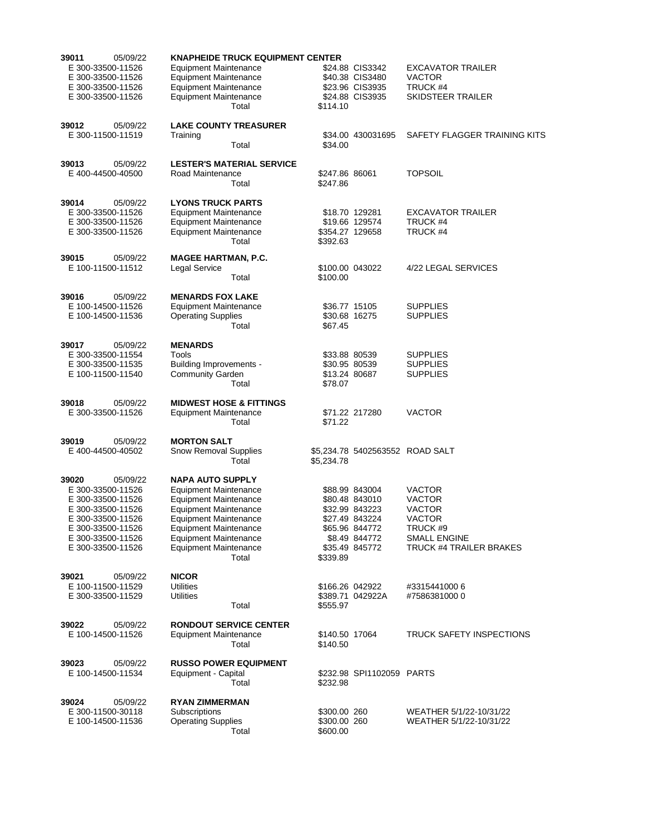| 39011<br>05/09/22                      | <b>KNAPHEIDE TRUCK EQUIPMENT CENTER</b>                               |                                |                                    |                                                    |
|----------------------------------------|-----------------------------------------------------------------------|--------------------------------|------------------------------------|----------------------------------------------------|
| E 300-33500-11526<br>E 300-33500-11526 | Equipment Maintenance<br>Equipment Maintenance                        |                                | \$24.88 CIS3342<br>\$40.38 CIS3480 | <b>EXCAVATOR TRAILER</b><br><b>VACTOR</b>          |
| E 300-33500-11526<br>E 300-33500-11526 | <b>Equipment Maintenance</b><br><b>Equipment Maintenance</b><br>Total | \$114.10                       | \$23.96 CIS3935<br>\$24.88 CIS3935 | TRUCK #4<br>SKIDSTEER TRAILER                      |
| 39012<br>05/09/22                      | <b>LAKE COUNTY TREASURER</b>                                          |                                |                                    |                                                    |
| E 300-11500-11519                      | Training<br>Total                                                     | \$34.00                        | \$34.00 430031695                  | SAFETY FLAGGER TRAINING KITS                       |
| 39013<br>05/09/22                      | <b>LESTER'S MATERIAL SERVICE</b>                                      |                                |                                    |                                                    |
| E 400-44500-40500                      | Road Maintenance<br>Total                                             | \$247.86 86061<br>\$247.86     |                                    | <b>TOPSOIL</b>                                     |
| 39014<br>05/09/22<br>E 300-33500-11526 | <b>LYONS TRUCK PARTS</b><br><b>Equipment Maintenance</b>              |                                |                                    | <b>EXCAVATOR TRAILER</b>                           |
| E 300-33500-11526                      | <b>Equipment Maintenance</b>                                          |                                | \$18.70 129281<br>\$19.66 129574   | TRUCK #4                                           |
| E 300-33500-11526                      | <b>Equipment Maintenance</b><br>Total                                 | \$354.27 129658<br>\$392.63    |                                    | TRUCK #4                                           |
| 39015<br>05/09/22                      | <b>MAGEE HARTMAN, P.C.</b>                                            |                                |                                    |                                                    |
| E 100-11500-11512                      | Legal Service<br>Total                                                | \$100.00 043022<br>\$100.00    |                                    | 4/22 LEGAL SERVICES                                |
| 39016<br>05/09/22                      | <b>MENARDS FOX LAKE</b>                                               |                                |                                    |                                                    |
| E 100-14500-11526<br>E 100-14500-11536 | <b>Equipment Maintenance</b><br><b>Operating Supplies</b>             | \$36.77 15105<br>\$30.68 16275 |                                    | <b>SUPPLIES</b><br><b>SUPPLIES</b>                 |
|                                        | Total                                                                 | \$67.45                        |                                    |                                                    |
| 39017<br>05/09/22                      | <b>MENARDS</b>                                                        |                                |                                    |                                                    |
| E 300-33500-11554<br>E 300-33500-11535 | Tools<br>Building Improvements -                                      | \$33.88 80539<br>\$30.95 80539 |                                    | <b>SUPPLIES</b><br><b>SUPPLIES</b>                 |
| E 100-11500-11540                      | <b>Community Garden</b><br>Total                                      | \$13.24 80687<br>\$78.07       |                                    | <b>SUPPLIES</b>                                    |
| 39018<br>05/09/22                      | <b>MIDWEST HOSE &amp; FITTINGS</b>                                    |                                |                                    |                                                    |
| E 300-33500-11526                      | <b>Equipment Maintenance</b><br>Total                                 | \$71.22                        | \$71.22 217280                     | <b>VACTOR</b>                                      |
| 39019<br>05/09/22                      | <b>MORTON SALT</b>                                                    |                                |                                    |                                                    |
| E 400-44500-40502                      | <b>Snow Removal Supplies</b><br>Total                                 | \$5,234.78                     |                                    |                                                    |
| 39020<br>05/09/22                      | <b>NAPA AUTO SUPPLY</b>                                               |                                |                                    |                                                    |
| E 300-33500-11526<br>E 300-33500-11526 | <b>Equipment Maintenance</b><br><b>Equipment Maintenance</b>          |                                | \$88.99 843004<br>\$80.48 843010   | <b>VACTOR</b><br><b>VACTOR</b>                     |
| E 300-33500-11526                      | <b>Equipment Maintenance</b>                                          |                                | \$32.99 843223                     | <b>VACTOR</b>                                      |
| E 300-33500-11526                      | <b>Equipment Maintenance</b>                                          |                                | \$27.49 843224                     | <b>VACTOR</b>                                      |
| E 300-33500-11526<br>E 300-33500-11526 | <b>Equipment Maintenance</b><br><b>Equipment Maintenance</b>          |                                | \$65.96 844772<br>\$8.49 844772    | TRUCK #9<br><b>SMALL ENGINE</b>                    |
| E 300-33500-11526                      | <b>Equipment Maintenance</b><br>Total                                 | \$339.89                       | \$35.49 845772                     | <b>TRUCK #4 TRAILER BRAKES</b>                     |
| 39021<br>05/09/22                      | <b>NICOR</b>                                                          |                                |                                    |                                                    |
| E 100-11500-11529<br>E 300-33500-11529 | Utilities<br><b>Utilities</b>                                         | \$166.26 042922                | \$389.71 042922A                   | #3315441000 6<br>#7586381000 0                     |
|                                        | Total                                                                 | \$555.97                       |                                    |                                                    |
| 39022<br>05/09/22                      | <b>RONDOUT SERVICE CENTER</b>                                         |                                |                                    |                                                    |
| E 100-14500-11526                      | <b>Equipment Maintenance</b><br>Total                                 | \$140.50 17064<br>\$140.50     |                                    | <b>TRUCK SAFETY INSPECTIONS</b>                    |
| 39023<br>05/09/22                      | <b>RUSSO POWER EQUIPMENT</b>                                          |                                |                                    |                                                    |
| E 100-14500-11534                      | Equipment - Capital<br>Total                                          | \$232.98                       | \$232.98 SPI1102059 PARTS          |                                                    |
| 39024<br>05/09/22                      | <b>RYAN ZIMMERMAN</b>                                                 |                                |                                    |                                                    |
| E 300-11500-30118<br>E 100-14500-11536 | Subscriptions<br><b>Operating Supplies</b>                            | \$300.00 260<br>\$300.00 260   |                                    | WEATHER 5/1/22-10/31/22<br>WEATHER 5/1/22-10/31/22 |
|                                        | Total                                                                 | \$600.00                       |                                    |                                                    |